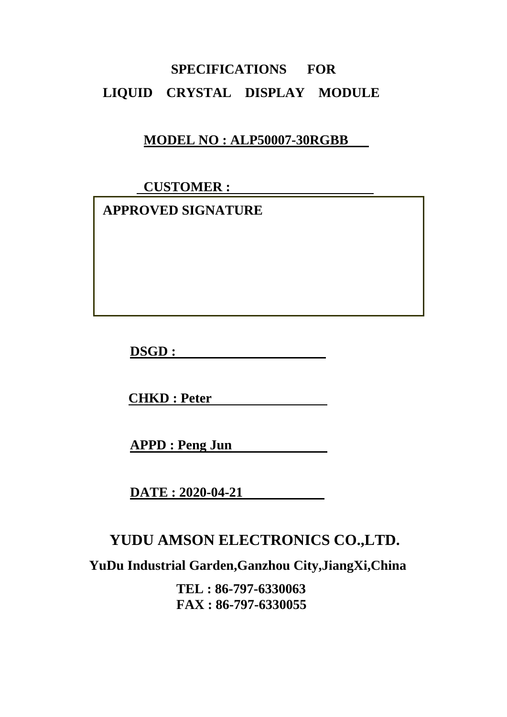# **SPECIFICATIONS FOR LIQUID CRYSTAL DISPLAY MODULE**

#### **MODEL NO : ALP50007-30RGBB**

 **CUSTOMER :** 

 **APPROVED SIGNATURE** 

**DSGD :** 

**CHKD : Peter** 

**APPD : Peng Jun** 

**DATE : 2020-04-21** 

### **YUDU AMSON ELECTRONICS CO.,LTD.**

**YuDu Industrial Garden,Ganzhou City,JiangXi,China** 

**TEL : 86-797-6330063 FAX : 86-797-6330055**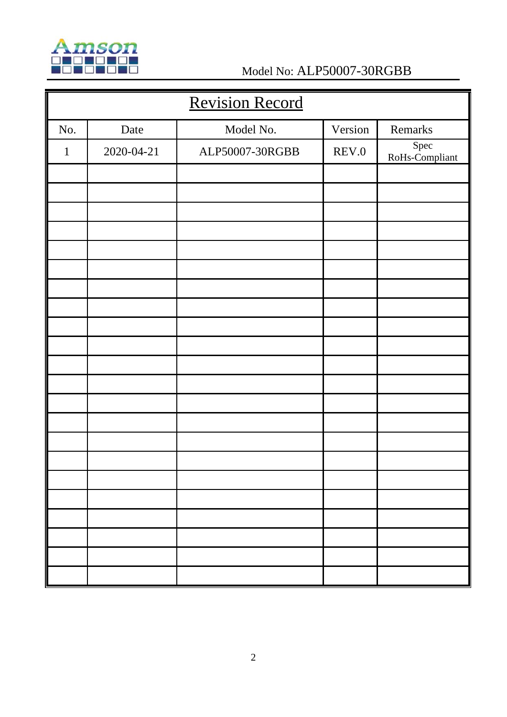

## Model No: ALP50007-30RGBB

| <b>Revision Record</b> |            |                 |         |                        |  |  |  |
|------------------------|------------|-----------------|---------|------------------------|--|--|--|
| No.                    | Date       | Model No.       | Version | Remarks                |  |  |  |
| $\mathbf{1}$           | 2020-04-21 | ALP50007-30RGBB | REV.0   | Spec<br>RoHs-Compliant |  |  |  |
|                        |            |                 |         |                        |  |  |  |
|                        |            |                 |         |                        |  |  |  |
|                        |            |                 |         |                        |  |  |  |
|                        |            |                 |         |                        |  |  |  |
|                        |            |                 |         |                        |  |  |  |
|                        |            |                 |         |                        |  |  |  |
|                        |            |                 |         |                        |  |  |  |
|                        |            |                 |         |                        |  |  |  |
|                        |            |                 |         |                        |  |  |  |
|                        |            |                 |         |                        |  |  |  |
|                        |            |                 |         |                        |  |  |  |
|                        |            |                 |         |                        |  |  |  |
|                        |            |                 |         |                        |  |  |  |
|                        |            |                 |         |                        |  |  |  |
|                        |            |                 |         |                        |  |  |  |
|                        |            |                 |         |                        |  |  |  |
|                        |            |                 |         |                        |  |  |  |
|                        |            |                 |         |                        |  |  |  |
|                        |            |                 |         |                        |  |  |  |
|                        |            |                 |         |                        |  |  |  |
|                        |            |                 |         |                        |  |  |  |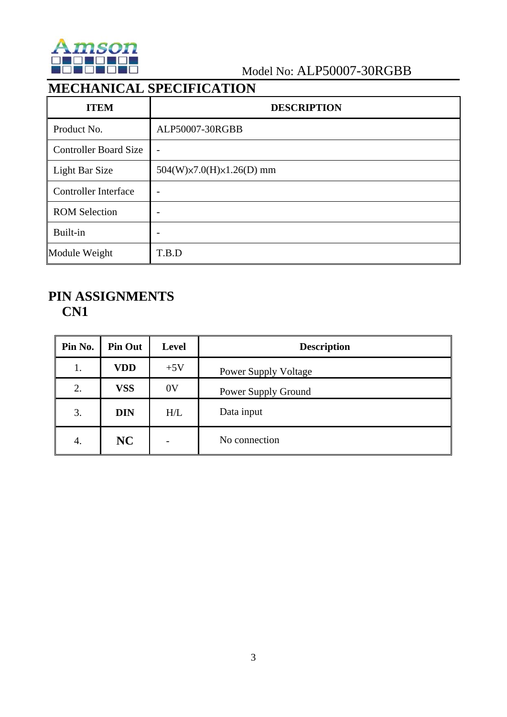

#### Model No: ALP50007-30RGBB

### **MECHANICAL SPECIFICATION**

| <b>ITEM</b>                  | <b>DESCRIPTION</b>                       |  |  |
|------------------------------|------------------------------------------|--|--|
| Product No.                  | ALP50007-30RGBB                          |  |  |
| <b>Controller Board Size</b> |                                          |  |  |
| Light Bar Size               | $504(W) \times 7.0(H) \times 1.26(D)$ mm |  |  |
| <b>Controller Interface</b>  |                                          |  |  |
| <b>ROM Selection</b>         |                                          |  |  |
| Built-in                     |                                          |  |  |
| Module Weight                | T.B.D                                    |  |  |

#### **PIN ASSIGNMENTS CN1**

| Pin No. | <b>Pin Out</b> | <b>Level</b> | <b>Description</b>          |  |
|---------|----------------|--------------|-----------------------------|--|
| 1.      | <b>VDD</b>     | $+5V$        | <b>Power Supply Voltage</b> |  |
| 2.      | <b>VSS</b>     | 0V           | Power Supply Ground         |  |
| 3.      | <b>DIN</b>     | H/L          | Data input                  |  |
| 4.      | NC             |              | No connection               |  |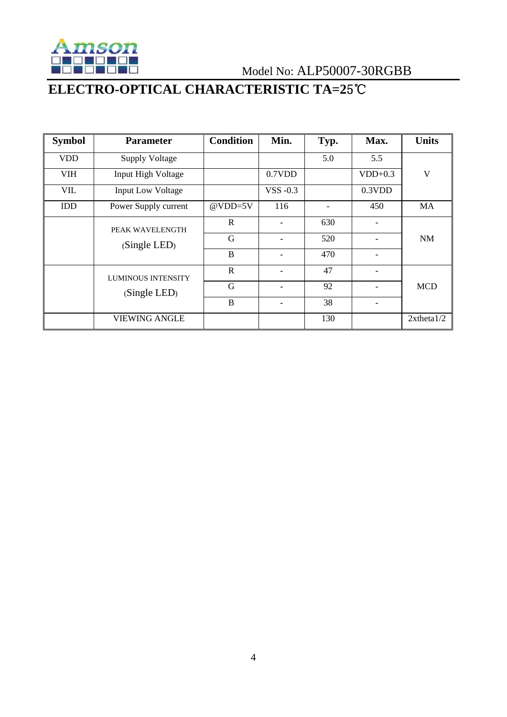

Model No: ALP50007-30RGBB

## **ELECTRO-OPTICAL CHARACTERISTIC TA=2**5℃

| <b>Symbol</b> | <b>Parameter</b>                          | <b>Condition</b> | Min.                     | Typ. | Max.                     | <b>Units</b>     |
|---------------|-------------------------------------------|------------------|--------------------------|------|--------------------------|------------------|
| <b>VDD</b>    | <b>Supply Voltage</b>                     |                  |                          | 5.0  | 5.5                      |                  |
| <b>VIH</b>    | <b>Input High Voltage</b>                 |                  | 0.7VDD                   |      | $VDD+0.3$                | V                |
| <b>VIL</b>    | <b>Input Low Voltage</b>                  |                  | VSS $-0.3$               |      | 0.3VDD                   |                  |
| IDD           | Power Supply current                      | $@VDD=5V$        | 116                      |      | 450                      | MA               |
|               | PEAK WAVELENGTH<br>(Single LED)           | R                |                          | 630  |                          |                  |
|               |                                           | G                |                          | 520  |                          | <b>NM</b>        |
|               |                                           | B                | $\overline{\phantom{0}}$ | 470  | $\overline{\phantom{0}}$ |                  |
|               | <b>LUMINOUS INTENSITY</b><br>(Single LED) | R                | $\overline{a}$           | 47   | -                        |                  |
|               |                                           | G                |                          | 92   |                          | <b>MCD</b>       |
|               |                                           | B                | $\overline{a}$           | 38   | $\overline{\phantom{0}}$ |                  |
|               | <b>VIEWING ANGLE</b>                      |                  |                          | 130  |                          | $2x$ theta $1/2$ |